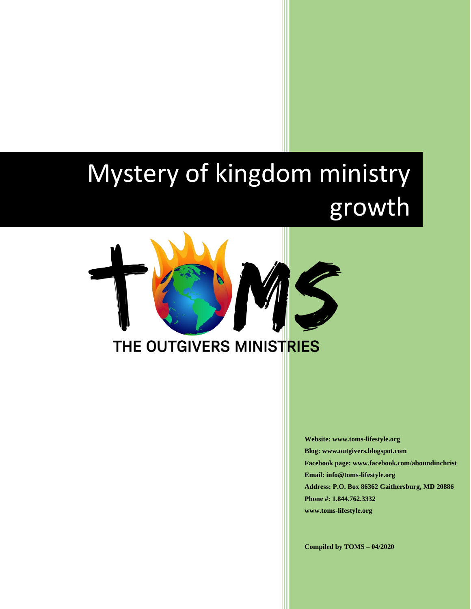# Mystery of kingdom ministry growth



**Website: www.toms-lifestyle.org Blog: www.outgivers.blogspot.com Facebook page: www.facebook.com/aboundinchrist Email: info@toms-lifestyle.org Address: P.O. Box 86362 Gaithersburg, MD 20886 Phone #: 1.844.762.3332 www.toms-lifestyle.org**

**Compiled by TOMS – 04/2020**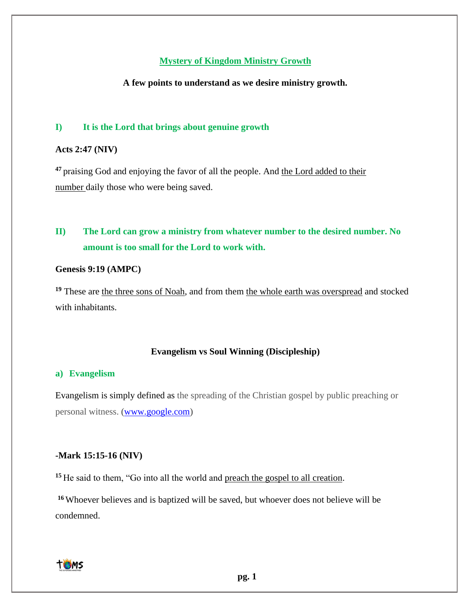# **Mystery of Kingdom Ministry Growth**

#### **A few points to understand as we desire ministry growth.**

# **I) It is the Lord that brings about genuine growth**

# **Acts 2:47 (NIV)**

**<sup>47</sup>**praising God and enjoying the favor of all the people. And the Lord added to their number daily those who were being saved.

# **II) The Lord can grow a ministry from whatever number to the desired number. No amount is too small for the Lord to work with.**

# **Genesis 9:19 (AMPC)**

<sup>19</sup> These are the three sons of Noah, and from them the whole earth was overspread and stocked with inhabitants.

#### **Evangelism vs Soul Winning (Discipleship)**

#### **a) Evangelism**

Evangelism is simply defined as the spreading of the Christian gospel by public preaching or personal witness. [\(www.google.com\)](http://www.google.com/)

#### **-Mark 15:15-16 (NIV)**

**<sup>15</sup>** He said to them, "Go into all the world and preach the gospel to all creation.

**<sup>16</sup>** Whoever believes and is baptized will be saved, but whoever does not believe will be condemned.

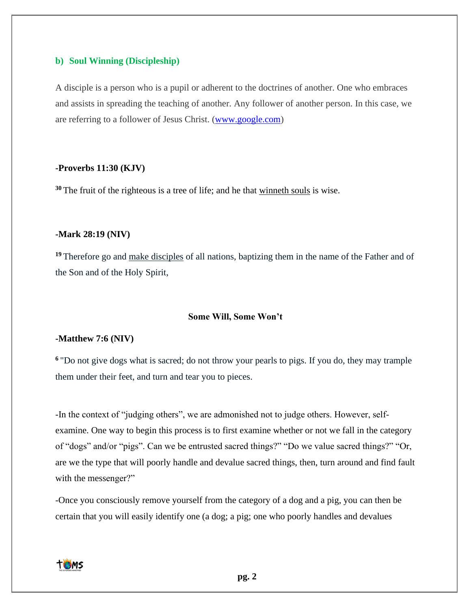#### **b) Soul Winning (Discipleship)**

A disciple is a person who is a pupil or adherent to the doctrines of another. One who embraces and assists in spreading the teaching of another. Any follower of another person. In this case, we are referring to a follower of Jesus Christ. [\(www.google.com\)](http://www.google.com/)

#### **-Proverbs 11:30 (KJV)**

**<sup>30</sup>** The fruit of the righteous is a tree of life; and he that winneth souls is wise.

#### **-Mark 28:19 (NIV)**

<sup>19</sup>Therefore go and make disciples of all nations, baptizing them in the name of the Father and of the Son and of the Holy Spirit,

#### **Some Will, Some Won't**

#### **-Matthew 7:6 (NIV)**

**<sup>6</sup>**"Do not give dogs what is sacred; do not throw your pearls to pigs. If you do, they may trample them under their feet, and turn and tear you to pieces.

-In the context of "judging others", we are admonished not to judge others. However, selfexamine. One way to begin this process is to first examine whether or not we fall in the category of "dogs" and/or "pigs". Can we be entrusted sacred things?" "Do we value sacred things?" "Or, are we the type that will poorly handle and devalue sacred things, then, turn around and find fault with the messenger?"

-Once you consciously remove yourself from the category of a dog and a pig, you can then be certain that you will easily identify one (a dog; a pig; one who poorly handles and devalues

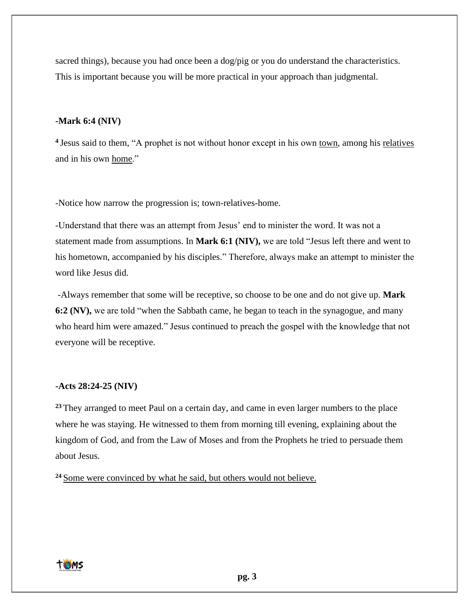sacred things), because you had once been a dog/pig or you do understand the characteristics. This is important because you will be more practical in your approach than judgmental.

# **-Mark 6:4 (NIV)**

**<sup>4</sup>**Jesus said to them, "A prophet is not without honor except in his own town, among his relatives and in his own home."

-Notice how narrow the progression is; town-relatives-home.

-Understand that there was an attempt from Jesus' end to minister the word. It was not a statement made from assumptions. In **Mark 6:1 (NIV),** we are told "Jesus left there and went to his hometown, accompanied by his disciples." Therefore, always make an attempt to minister the word like Jesus did.

-Always remember that some will be receptive, so choose to be one and do not give up. **Mark 6:2 (NV),** we are told "when the Sabbath came, he began to teach in the synagogue, and many who heard him were amazed." Jesus continued to preach the gospel with the knowledge that not everyone will be receptive.

#### **-Acts 28:24-25 (NIV)**

<sup>23</sup> They arranged to meet Paul on a certain day, and came in even larger numbers to the place where he was staying. He witnessed to them from morning till evening, explaining about the kingdom of God, and from the Law of Moses and from the Prophets he tried to persuade them about Jesus.

**<sup>24</sup>** Some were convinced by what he said, but others would not believe.

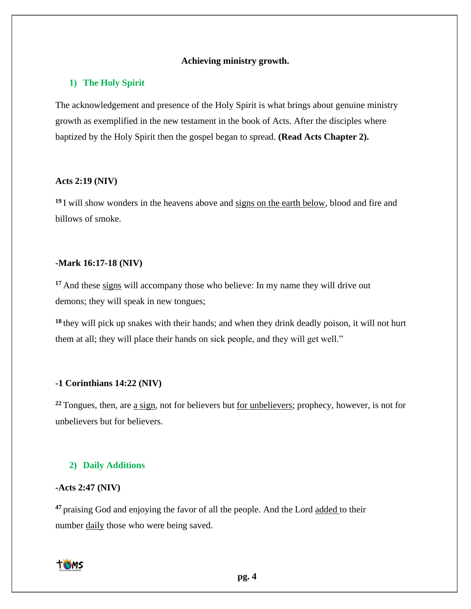## **Achieving ministry growth.**

#### **1) The Holy Spirit**

The acknowledgement and presence of the Holy Spirit is what brings about genuine ministry growth as exemplified in the new testament in the book of Acts. After the disciples where baptized by the Holy Spirit then the gospel began to spread. **(Read Acts Chapter 2).**

#### **Acts 2:19 (NIV)**

<sup>19</sup>I will show wonders in the heavens above and signs on the earth below, blood and fire and billows of smoke.

#### **-Mark 16:17-18 (NIV)**

**<sup>17</sup>** And these signs will accompany those who believe: In my name they will drive out demons; they will speak in new tongues;

**<sup>18</sup>** they will pick up snakes with their hands; and when they drink deadly poison, it will not hurt them at all; they will place their hands on sick people, and they will get well."

#### **-1 Corinthians 14:22 (NIV)**

**<sup>22</sup>** Tongues, then, are a sign, not for believers but for unbelievers; prophecy, however, is not for unbelievers but for believers.

# **2) Daily Additions**

# **-Acts 2:47 (NIV)**

**<sup>47</sup>**praising God and enjoying the favor of all the people. And the Lord added to their number daily those who were being saved.

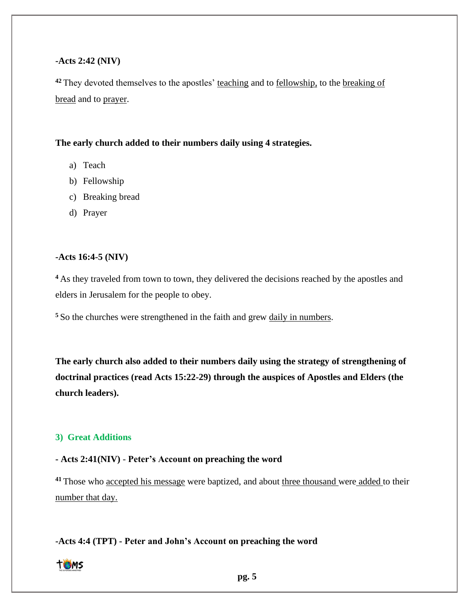#### **-Acts 2:42 (NIV)**

<sup>42</sup> They devoted themselves to the apostles' teaching and to fellowship, to the breaking of bread and to prayer.

## **The early church added to their numbers daily using 4 strategies.**

- a) Teach
- b) Fellowship
- c) Breaking bread
- d) Prayer

# **-Acts 16:4-5 (NIV)**

<sup>4</sup> As they traveled from town to town, they delivered the decisions reached by the apostles and elders in Jerusalem for the people to obey.

**<sup>5</sup>** So the churches were strengthened in the faith and grew daily in numbers.

**The early church also added to their numbers daily using the strategy of strengthening of doctrinal practices (read Acts 15:22-29) through the auspices of Apostles and Elders (the church leaders).**

#### **3) Great Additions**

#### **- Acts 2:41(NIV)** - **Peter's Account on preaching the word**

<sup>41</sup> Those who accepted his message were baptized, and about three thousand were added to their number that day.

**-Acts 4:4 (TPT) - Peter and John's Account on preaching the word**

# TOMS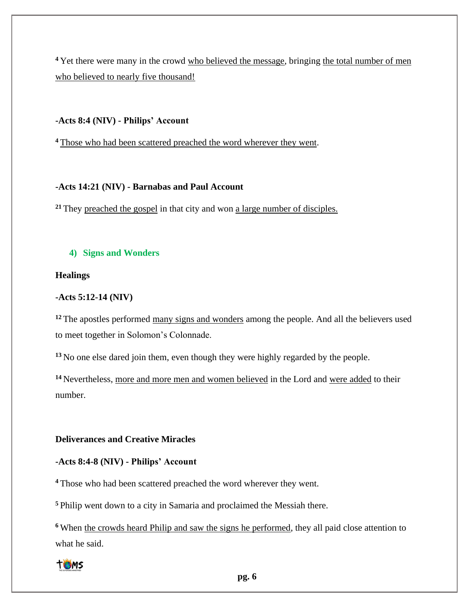<sup>4</sup> Yet there were many in the crowd who believed the message, bringing the total number of men who believed to nearly five thousand!

## **-Acts 8:4 (NIV) - Philips' Account**

**<sup>4</sup>** Those who had been scattered preached the word wherever they went.

# **-Acts 14:21 (NIV) - Barnabas and Paul Account**

**<sup>21</sup>** They preached the gospel in that city and won a large number of disciples.

# **4) Signs and Wonders**

# **Healings**

# **-Acts 5:12-14 (NIV)**

<sup>12</sup> The apostles performed many signs and wonders among the people. And all the believers used to meet together in Solomon's Colonnade.

**<sup>13</sup>** No one else dared join them, even though they were highly regarded by the people.

**<sup>14</sup>** Nevertheless, more and more men and women believed in the Lord and were added to their number.

#### **Deliverances and Creative Miracles**

# **-Acts 8:4-8 (NIV) - Philips' Account**

**<sup>4</sup>** Those who had been scattered preached the word wherever they went.

**<sup>5</sup>** Philip went down to a city in Samaria and proclaimed the Messiah there.

**<sup>6</sup>** When the crowds heard Philip and saw the signs he performed, they all paid close attention to what he said.

# **TOMS**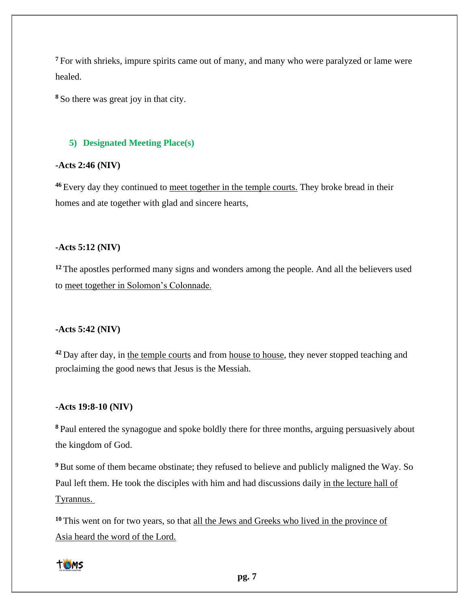<sup>7</sup> For with shrieks, impure spirits came out of many, and many who were paralyzed or lame were healed.

**<sup>8</sup>** So there was great joy in that city.

#### **5) Designated Meeting Place(s)**

# **-Acts 2:46 (NIV)**

**<sup>46</sup>** Every day they continued to meet together in the temple courts. They broke bread in their homes and ate together with glad and sincere hearts,

#### **-Acts 5:12 (NIV)**

<sup>12</sup> The apostles performed many signs and wonders among the people. And all the believers used to meet together in Solomon's Colonnade.

# **-Acts 5:42 (NIV)**

**<sup>42</sup>** Day after day, in the temple courts and from house to house, they never stopped teaching and proclaiming the good news that Jesus is the Messiah.

# **-Acts 19:8-10 (NIV)**

**<sup>8</sup>** Paul entered the synagogue and spoke boldly there for three months, arguing persuasively about the kingdom of God.

**<sup>9</sup>** But some of them became obstinate; they refused to believe and publicly maligned the Way. So Paul left them. He took the disciples with him and had discussions daily in the lecture hall of Tyrannus.

**<sup>10</sup>** This went on for two years, so that all the Jews and Greeks who lived in the province of Asia heard the word of the Lord.

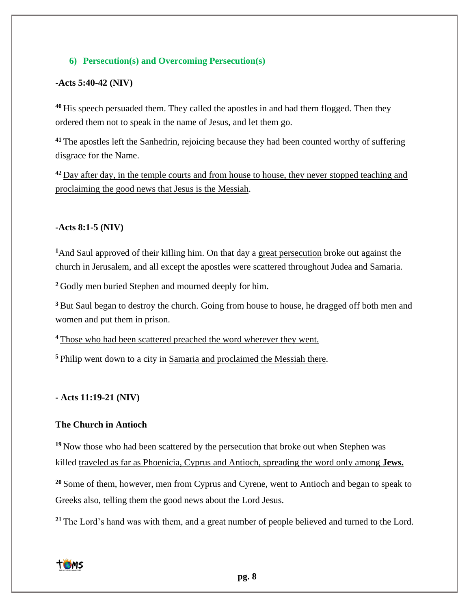# **6) Persecution(s) and Overcoming Persecution(s)**

# **-Acts 5:40-42 (NIV)**

**<sup>40</sup>** His speech persuaded them. They called the apostles in and had them flogged. Then they ordered them not to speak in the name of Jesus, and let them go.

**<sup>41</sup>** The apostles left the Sanhedrin, rejoicing because they had been counted worthy of suffering disgrace for the Name.

**<sup>42</sup>** Day after day, in the temple courts and from house to house, they never stopped teaching and proclaiming the good news that Jesus is the Messiah.

# **-Acts 8:1-5 (NIV)**

**<sup>1</sup>**And Saul approved of their killing him. On that day a great persecution broke out against the church in Jerusalem, and all except the apostles were scattered throughout Judea and Samaria.

**<sup>2</sup>** Godly men buried Stephen and mourned deeply for him.

**<sup>3</sup>** But Saul began to destroy the church. Going from house to house, he dragged off both men and women and put them in prison.

**<sup>4</sup>** Those who had been scattered preached the word wherever they went.

**<sup>5</sup>** Philip went down to a city in Samaria and proclaimed the Messiah there.

**- Acts 11:19-21 (NIV)**

# **The Church in Antioch**

**<sup>19</sup>** Now those who had been scattered by the persecution that broke out when Stephen was killed traveled as far as Phoenicia, Cyprus and Antioch, spreading the word only among **Jews.**

**<sup>20</sup>** Some of them, however, men from Cyprus and Cyrene, went to Antioch and began to speak to Greeks also, telling them the good news about the Lord Jesus.

**<sup>21</sup>** The Lord's hand was with them, and a great number of people believed and turned to the Lord.

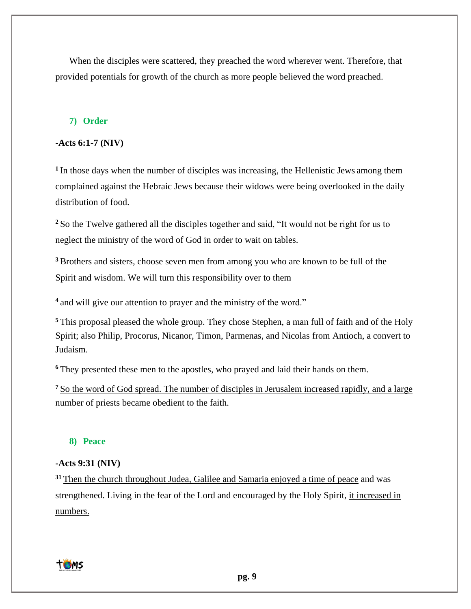When the disciples were scattered, they preached the word wherever went. Therefore, that provided potentials for growth of the church as more people believed the word preached.

# **7) Order**

## **-Acts 6:1-7 (NIV)**

<sup>1</sup>In those days when the number of disciples was increasing, the Hellenistic Jews among them complained against the Hebraic Jews because their widows were being overlooked in the daily distribution of food.

**<sup>2</sup>** So the Twelve gathered all the disciples together and said, "It would not be right for us to neglect the ministry of the word of God in order to wait on tables.

**<sup>3</sup>** Brothers and sisters, choose seven men from among you who are known to be full of the Spirit and wisdom. We will turn this responsibility over to them

**<sup>4</sup>** and will give our attention to prayer and the ministry of the word."

**<sup>5</sup>** This proposal pleased the whole group. They chose Stephen, a man full of faith and of the Holy Spirit; also Philip, Procorus, Nicanor, Timon, Parmenas, and Nicolas from Antioch, a convert to Judaism.

**<sup>6</sup>** They presented these men to the apostles, who prayed and laid their hands on them.

**<sup>7</sup>** So the word of God spread. The number of disciples in Jerusalem increased rapidly, and a large number of priests became obedient to the faith.

# **8) Peace**

#### **-Acts 9:31 (NIV)**

**<sup>31</sup>** Then the church throughout Judea, Galilee and Samaria enjoyed a time of peace and was strengthened. Living in the fear of the Lord and encouraged by the Holy Spirit, it increased in numbers.

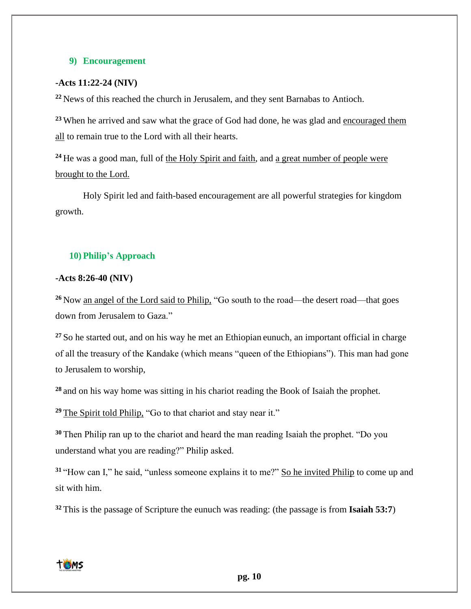## **9) Encouragement**

# **-Acts 11:22-24 (NIV)**

**<sup>22</sup>** News of this reached the church in Jerusalem, and they sent Barnabas to Antioch.

**<sup>23</sup>** When he arrived and saw what the grace of God had done, he was glad and encouraged them all to remain true to the Lord with all their hearts.

<sup>24</sup> He was a good man, full of the Holy Spirit and faith, and a great number of people were brought to the Lord.

Holy Spirit led and faith-based encouragement are all powerful strategies for kingdom growth.

#### **10) Philip's Approach**

#### **-Acts 8:26-40 (NIV)**

**<sup>26</sup>**Now an angel of the Lord said to Philip, "Go south to the road—the desert road—that goes down from Jerusalem to Gaza."

**<sup>27</sup>**So he started out, and on his way he met an Ethiopian eunuch, an important official in charge of all the treasury of the Kandake (which means "queen of the Ethiopians"). This man had gone to Jerusalem to worship,

**<sup>28</sup>**and on his way home was sitting in his chariot reading the Book of Isaiah the prophet.

**<sup>29</sup>**The Spirit told Philip, "Go to that chariot and stay near it."

**<sup>30</sup>**Then Philip ran up to the chariot and heard the man reading Isaiah the prophet. "Do you understand what you are reading?" Philip asked.

**<sup>31</sup>**"How can I," he said, "unless someone explains it to me?" So he invited Philip to come up and sit with him.

**32** This is the passage of Scripture the eunuch was reading: (the passage is from **Isaiah 53:7**)

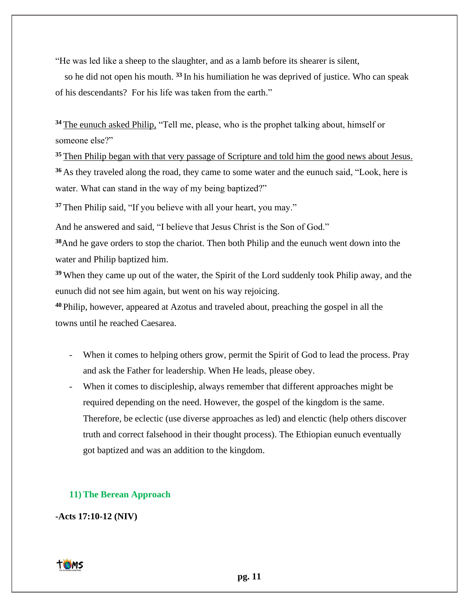"He was led like a sheep to the slaughter, and as a lamb before its shearer is silent,

 so he did not open his mouth. **<sup>33</sup>** In his humiliation he was deprived of justice. Who can speak of his descendants? For his life was taken from the earth."

**<sup>34</sup>**The eunuch asked Philip, "Tell me, please, who is the prophet talking about, himself or someone else?"

<sup>35</sup> Then Philip began with that very passage of Scripture and told him the good news about Jesus. **<sup>36</sup>**As they traveled along the road, they came to some water and the eunuch said, "Look, here is water. What can stand in the way of my being baptized?"

**<sup>37</sup>**Then Philip said, "If you believe with all your heart, you may."

And he answered and said, "I believe that Jesus Christ is the Son of God."

**<sup>38</sup>**And he gave orders to stop the chariot. Then both Philip and the eunuch went down into the water and Philip baptized him.

**<sup>39</sup>**When they came up out of the water, the Spirit of the Lord suddenly took Philip away, and the eunuch did not see him again, but went on his way rejoicing.

**<sup>40</sup>**Philip, however, appeared at Azotus and traveled about, preaching the gospel in all the towns until he reached Caesarea.

- When it comes to helping others grow, permit the Spirit of God to lead the process. Pray and ask the Father for leadership. When He leads, please obey.
- When it comes to discipleship, always remember that different approaches might be required depending on the need. However, the gospel of the kingdom is the same. Therefore, be eclectic (use diverse approaches as led) and elenctic (help others discover truth and correct falsehood in their thought process). The Ethiopian eunuch eventually got baptized and was an addition to the kingdom.

# **11)The Berean Approach**

# **-Acts 17:10-12 (NIV)**